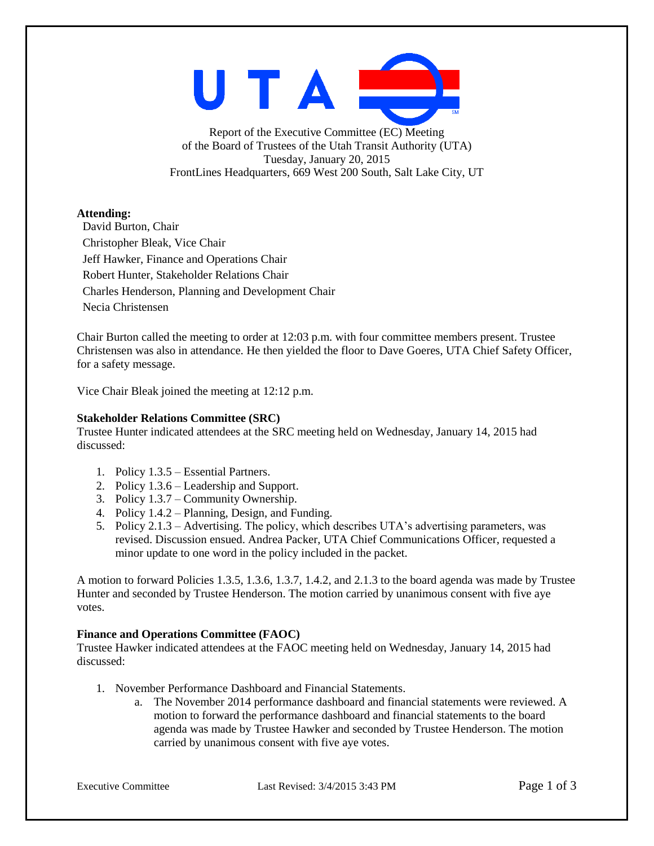UTAI

Report of the Executive Committee (EC) Meeting of the Board of Trustees of the Utah Transit Authority (UTA) Tuesday, January 20, 2015 FrontLines Headquarters, 669 West 200 South, Salt Lake City, UT

# **Attending:**

David Burton, Chair Christopher Bleak, Vice Chair Jeff Hawker, Finance and Operations Chair Robert Hunter, Stakeholder Relations Chair Charles Henderson, Planning and Development Chair Necia Christensen

Chair Burton called the meeting to order at 12:03 p.m. with four committee members present. Trustee Christensen was also in attendance. He then yielded the floor to Dave Goeres, UTA Chief Safety Officer, for a safety message.

Vice Chair Bleak joined the meeting at 12:12 p.m.

# **Stakeholder Relations Committee (SRC)**

Trustee Hunter indicated attendees at the SRC meeting held on Wednesday, January 14, 2015 had discussed:

- 1. Policy 1.3.5 Essential Partners.
- 2. Policy 1.3.6 Leadership and Support.
- 3. Policy 1.3.7 Community Ownership.
- 4. Policy 1.4.2 Planning, Design, and Funding.
- 5. Policy 2.1.3 Advertising. The policy, which describes UTA's advertising parameters, was revised. Discussion ensued. Andrea Packer, UTA Chief Communications Officer, requested a minor update to one word in the policy included in the packet.

A motion to forward Policies 1.3.5, 1.3.6, 1.3.7, 1.4.2, and 2.1.3 to the board agenda was made by Trustee Hunter and seconded by Trustee Henderson. The motion carried by unanimous consent with five aye votes.

# **Finance and Operations Committee (FAOC)**

Trustee Hawker indicated attendees at the FAOC meeting held on Wednesday, January 14, 2015 had discussed:

- 1. November Performance Dashboard and Financial Statements.
	- a. The November 2014 performance dashboard and financial statements were reviewed. A motion to forward the performance dashboard and financial statements to the board agenda was made by Trustee Hawker and seconded by Trustee Henderson. The motion carried by unanimous consent with five aye votes.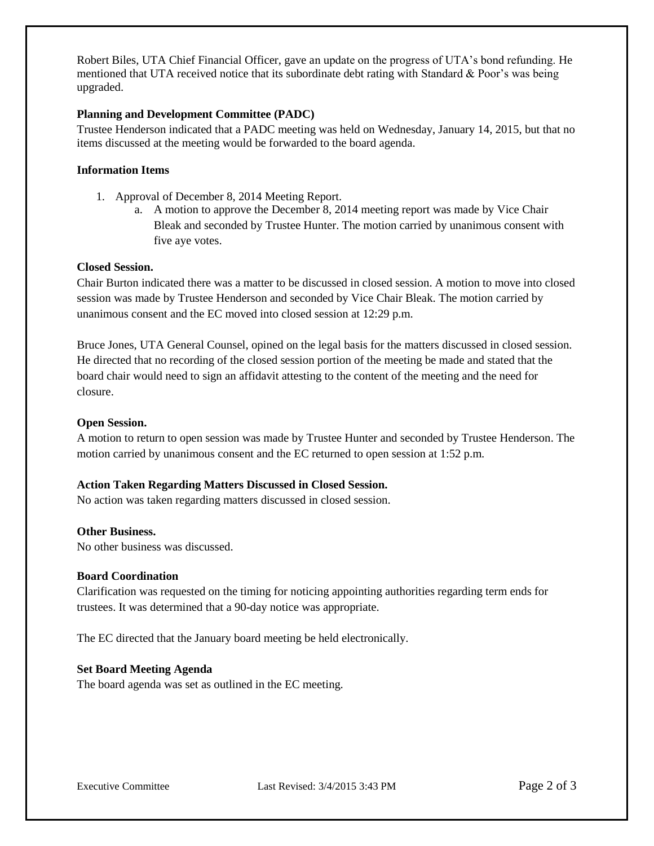Robert Biles, UTA Chief Financial Officer, gave an update on the progress of UTA's bond refunding. He mentioned that UTA received notice that its subordinate debt rating with Standard  $\&$  Poor's was being upgraded.

## **Planning and Development Committee (PADC)**

Trustee Henderson indicated that a PADC meeting was held on Wednesday, January 14, 2015, but that no items discussed at the meeting would be forwarded to the board agenda.

## **Information Items**

- 1. Approval of December 8, 2014 Meeting Report.
	- a. A motion to approve the December 8, 2014 meeting report was made by Vice Chair Bleak and seconded by Trustee Hunter. The motion carried by unanimous consent with five aye votes.

#### **Closed Session.**

Chair Burton indicated there was a matter to be discussed in closed session. A motion to move into closed session was made by Trustee Henderson and seconded by Vice Chair Bleak. The motion carried by unanimous consent and the EC moved into closed session at 12:29 p.m.

Bruce Jones, UTA General Counsel, opined on the legal basis for the matters discussed in closed session. He directed that no recording of the closed session portion of the meeting be made and stated that the board chair would need to sign an affidavit attesting to the content of the meeting and the need for closure.

#### **Open Session.**

A motion to return to open session was made by Trustee Hunter and seconded by Trustee Henderson. The motion carried by unanimous consent and the EC returned to open session at 1:52 p.m.

# **Action Taken Regarding Matters Discussed in Closed Session.**

No action was taken regarding matters discussed in closed session.

#### **Other Business.**

No other business was discussed.

#### **Board Coordination**

Clarification was requested on the timing for noticing appointing authorities regarding term ends for trustees. It was determined that a 90-day notice was appropriate.

The EC directed that the January board meeting be held electronically.

#### **Set Board Meeting Agenda**

The board agenda was set as outlined in the EC meeting.